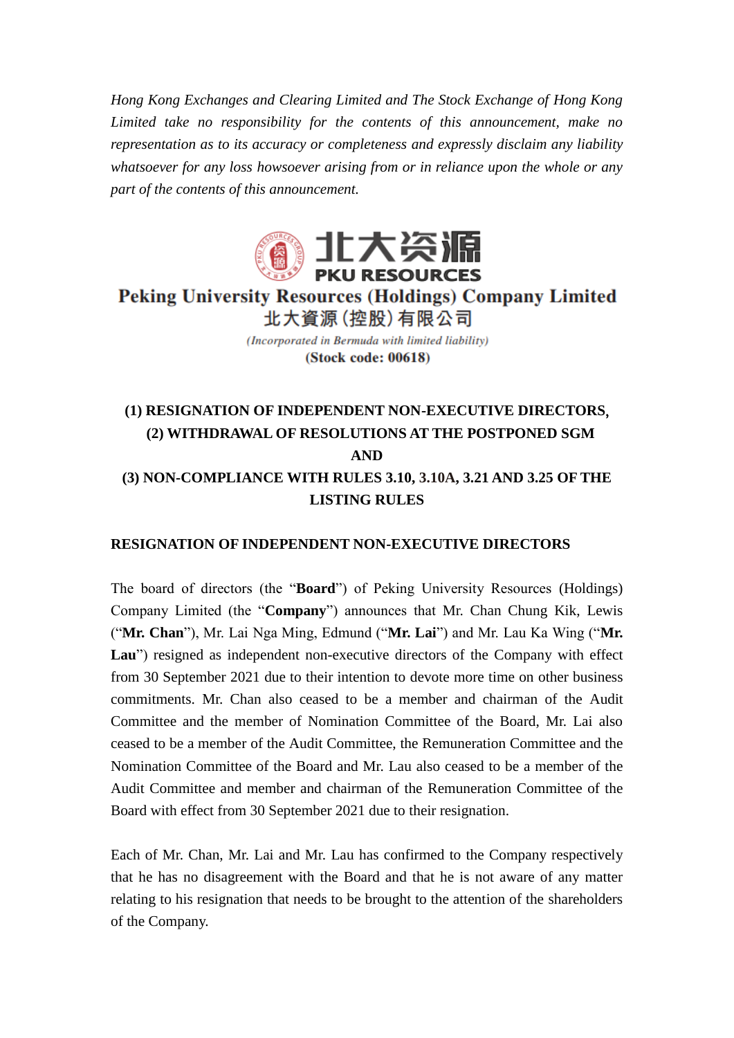*Hong Kong Exchanges and Clearing Limited and The Stock Exchange of Hong Kong Limited take no responsibility for the contents of this announcement, make no representation as to its accuracy or completeness and expressly disclaim any liability whatsoever for any loss howsoever arising from or in reliance upon the whole or any part of the contents of this announcement.*



**Peking University Resources (Holdings) Company Limited** 北大資源 (控股) 有限公司

> (Incorporated in Bermuda with limited liability) (Stock code: 00618)

# **(1) RESIGNATION OF INDEPENDENT NON-EXECUTIVE DIRECTORS**, **(2) WITHDRAWAL OF RESOLUTIONS AT THE POSTPONED SGM AND (3) NON-COMPLIANCE WITH RULES 3.10, 3.10A, 3.21 AND 3.25 OF THE LISTING RULES**

#### **RESIGNATION OF INDEPENDENT NON-EXECUTIVE DIRECTORS**

The board of directors (the "**Board**") of Peking University Resources (Holdings) Company Limited (the "**Company**") announces that Mr. Chan Chung Kik, Lewis ("**Mr. Chan**"), Mr. Lai Nga Ming, Edmund ("**Mr. Lai**") and Mr. Lau Ka Wing ("**Mr. Lau**") resigned as independent non-executive directors of the Company with effect from 30 September 2021 due to their intention to devote more time on other business commitments. Mr. Chan also ceased to be a member and chairman of the Audit Committee and the member of Nomination Committee of the Board, Mr. Lai also ceased to be a member of the Audit Committee, the Remuneration Committee and the Nomination Committee of the Board and Mr. Lau also ceased to be a member of the Audit Committee and member and chairman of the Remuneration Committee of the Board with effect from 30 September 2021 due to their resignation.

Each of Mr. Chan, Mr. Lai and Mr. Lau has confirmed to the Company respectively that he has no disagreement with the Board and that he is not aware of any matter relating to his resignation that needs to be brought to the attention of the shareholders of the Company.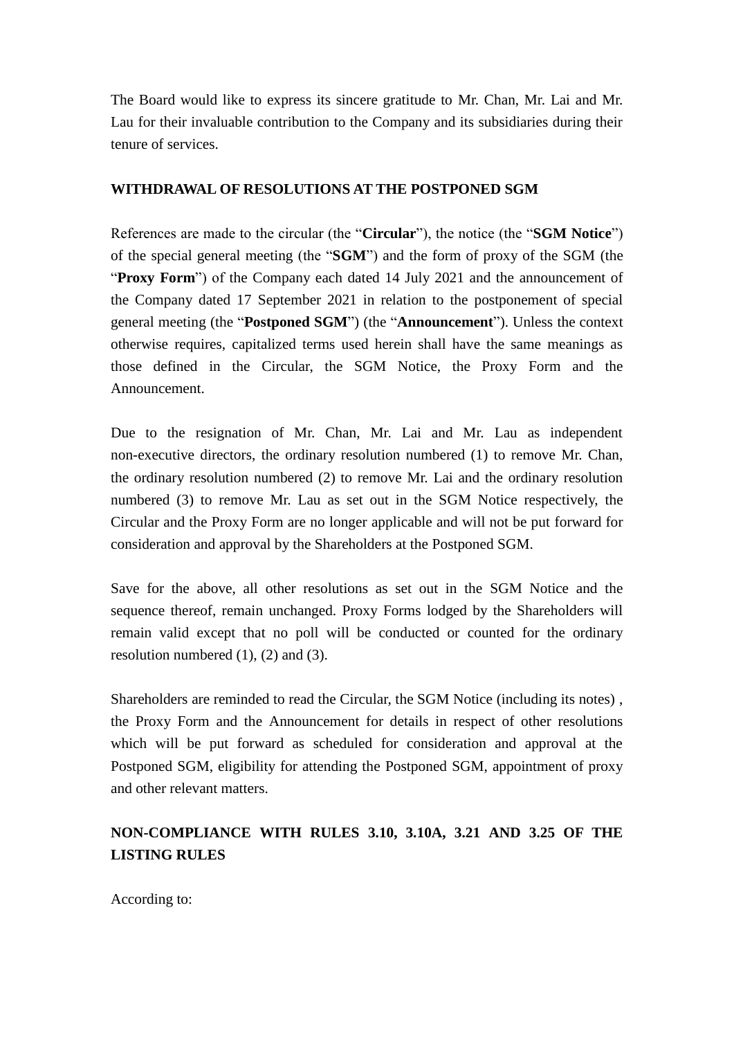The Board would like to express its sincere gratitude to Mr. Chan, Mr. Lai and Mr. Lau for their invaluable contribution to the Company and its subsidiaries during their tenure of services.

### **WITHDRAWAL OF RESOLUTIONS AT THE POSTPONED SGM**

References are made to the circular (the "**Circular**"), the notice (the "**SGM Notice**") of the special general meeting (the "**SGM**") and the form of proxy of the SGM (the "**Proxy Form**") of the Company each dated 14 July 2021 and the announcement of the Company dated 17 September 2021 in relation to the postponement of special general meeting (the "**Postponed SGM**") (the "**Announcement**"). Unless the context otherwise requires, capitalized terms used herein shall have the same meanings as those defined in the Circular, the SGM Notice, the Proxy Form and the Announcement.

Due to the resignation of Mr. Chan, Mr. Lai and Mr. Lau as independent non-executive directors, the ordinary resolution numbered (1) to remove Mr. Chan, the ordinary resolution numbered (2) to remove Mr. Lai and the ordinary resolution numbered (3) to remove Mr. Lau as set out in the SGM Notice respectively, the Circular and the Proxy Form are no longer applicable and will not be put forward for consideration and approval by the Shareholders at the Postponed SGM.

Save for the above, all other resolutions as set out in the SGM Notice and the sequence thereof, remain unchanged. Proxy Forms lodged by the Shareholders will remain valid except that no poll will be conducted or counted for the ordinary resolution numbered (1), (2) and (3).

Shareholders are reminded to read the Circular, the SGM Notice (including its notes) , the Proxy Form and the Announcement for details in respect of other resolutions which will be put forward as scheduled for consideration and approval at the Postponed SGM, eligibility for attending the Postponed SGM, appointment of proxy and other relevant matters.

## **NON-COMPLIANCE WITH RULES 3.10, 3.10A, 3.21 AND 3.25 OF THE LISTING RULES**

According to: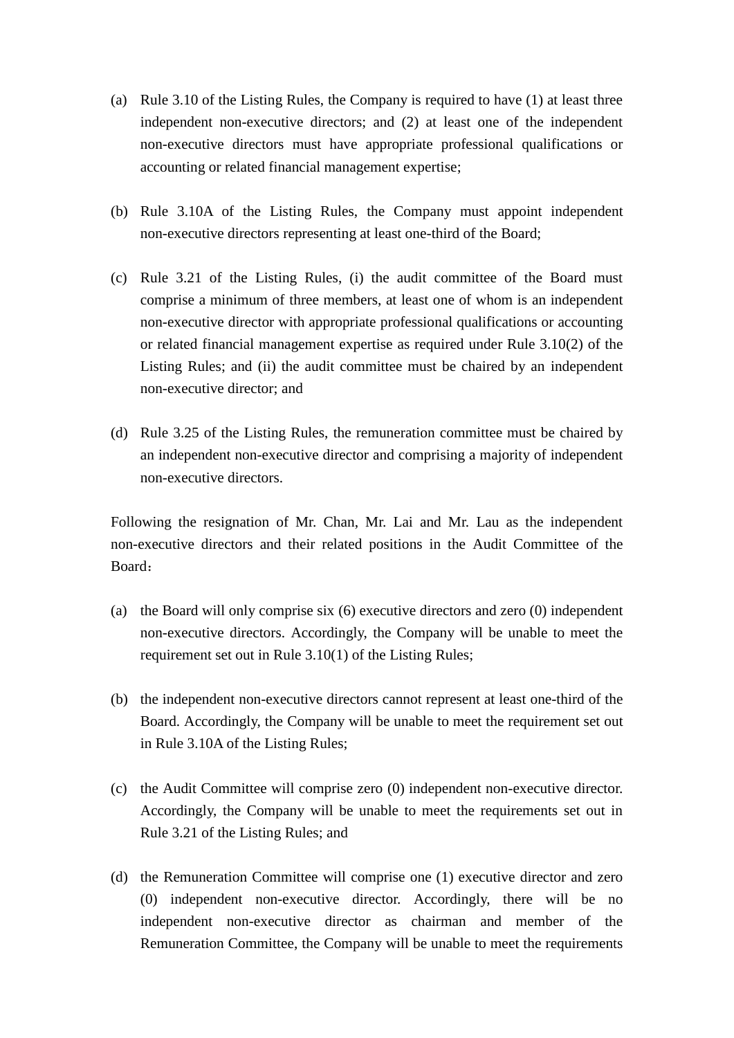- (a) Rule 3.10 of the Listing Rules, the Company is required to have (1) at least three independent non-executive directors; and (2) at least one of the independent non-executive directors must have appropriate professional qualifications or accounting or related financial management expertise;
- (b) Rule 3.10A of the Listing Rules, the Company must appoint independent non-executive directors representing at least one-third of the Board;
- (c) Rule 3.21 of the Listing Rules, (i) the audit committee of the Board must comprise a minimum of three members, at least one of whom is an independent non-executive director with appropriate professional qualifications or accounting or related financial management expertise as required under Rule 3.10(2) of the Listing Rules; and (ii) the audit committee must be chaired by an independent non-executive director; and
- (d) Rule 3.25 of the Listing Rules, the remuneration committee must be chaired by an independent non-executive director and comprising a majority of independent non-executive directors.

Following the resignation of Mr. Chan, Mr. Lai and Mr. Lau as the independent non-executive directors and their related positions in the Audit Committee of the Board:

- (a) the Board will only comprise six (6) executive directors and zero (0) independent non-executive directors. Accordingly, the Company will be unable to meet the requirement set out in Rule 3.10(1) of the Listing Rules;
- (b) the independent non-executive directors cannot represent at least one-third of the Board. Accordingly, the Company will be unable to meet the requirement set out in Rule 3.10A of the Listing Rules;
- (c) the Audit Committee will comprise zero (0) independent non-executive director. Accordingly, the Company will be unable to meet the requirements set out in Rule 3.21 of the Listing Rules; and
- (d) the Remuneration Committee will comprise one (1) executive director and zero (0) independent non-executive director. Accordingly, there will be no independent non-executive director as chairman and member of the Remuneration Committee, the Company will be unable to meet the requirements